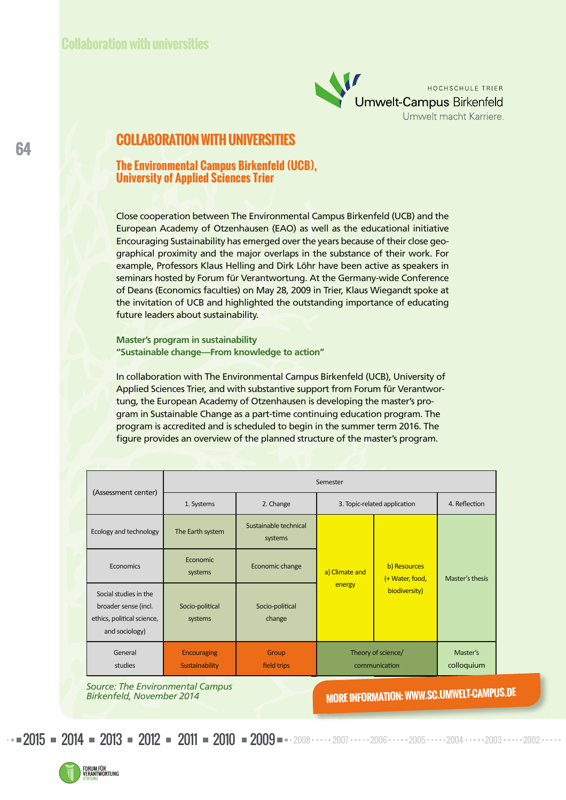

### **COLLABORATION WITH UNIVERSITIES**

#### **The Environmental Campus Birkenfeld (UCB), University of Applied Sciences Trier**

Close cooperation between The Environmental Campus Birkenfeld (UCB) and the European Academy of Otzenhausen (EAO) as well as the educational initiative Encouraging Sustainability has emerged over the years because of their close geographical proximity and the major overlaps in the substance of their work. For example, Professors Klaus Helling and Dirk Löhr have been active as speakers in seminars hosted by Forum für Verantwortung. At the Germany-wide Conference of Deans (Economics faculties) on May 28, 2009 in Trier, Klaus Wiegandt spoke at the invitation of UCB and highlighted the outstanding importance of educating future leaders about sustainability.

**Master's program in sustainability "Sustainable change—From knowledge to action"**

In collaboration with The Environmental Campus Birkenfeld (UCB), University of Applied Sciences Trier, and with substantive support from Forum für Verantwortung, the European Academy of Otzenhausen is developing the master's program in Sustainable Change as a part-time continuing education program. The program is accredited and is scheduled to begin in the summer term 2016. The figure provides an overview of the planned structure of the master's program.

| (Assessment center)                                                                           | Semester                                    |                                  |                                     |                                                  |                        |
|-----------------------------------------------------------------------------------------------|---------------------------------------------|----------------------------------|-------------------------------------|--------------------------------------------------|------------------------|
|                                                                                               | 1. Systems                                  | 2. Change                        | 3. Topic-related application        |                                                  | 4. Reflection          |
| Ecology and technology                                                                        | The Earth system                            | Sustainable technical<br>systems | a) Climate and<br>energy            | b) Resources<br>(+ Water, food,<br>biodiversity) | Master's thesis        |
| Economics                                                                                     | Economic<br>systems                         | Economic change                  |                                     |                                                  |                        |
| Social studies in the<br>broader sense (incl.<br>ethics, political science,<br>and sociology) | Socio-political<br>systems                  | Socio-political<br>change        |                                     |                                                  |                        |
| General<br>studies                                                                            | <b>Encouraging</b><br><b>Sustainability</b> | Group<br>field trips             | Theory of science/<br>communication |                                                  | Master's<br>colloquium |

*Source: The Environmental Campus Birkenfeld, November 2014*

**MORE INFORMATION: WWW.SC.UMWELT-CAMPUS.DE**

 $2015$  = 2014 = 2013 = 2012 = 2011 = 2010 = 2009 = 2008  $\cdots$  2007  $\cdots$  2006  $\cdots$  2005 $\cdots$  2004  $\cdots$  2003  $\cdots$  2002

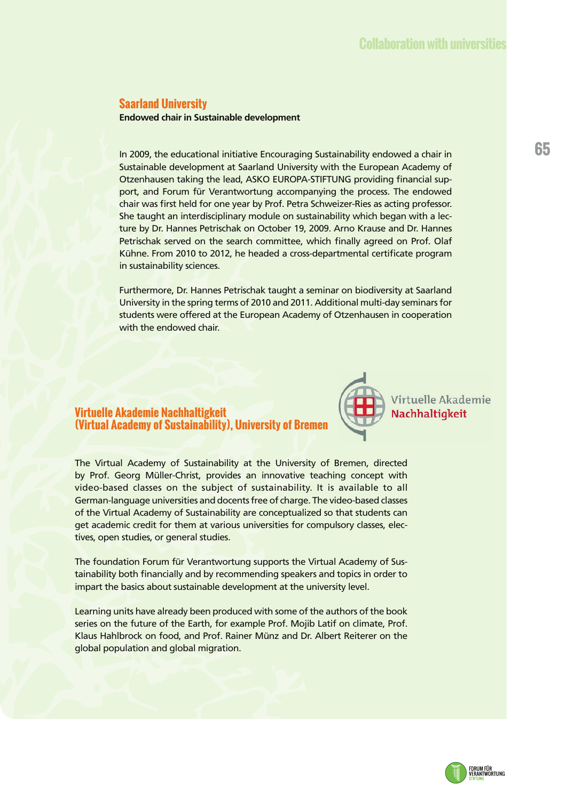#### **Saarland University**

**Endowed chair in Sustainable development**

In 2009, the educational initiative Encouraging Sustainability endowed a chair in Sustainable development at Saarland University with the European Academy of Otzenhausen taking the lead, ASKO EUROPA-STIFTUNG providing financial support, and Forum für Verantwortung accompanying the process. The endowed chair was first held for one year by Prof. Petra Schweizer-Ries as acting professor. She taught an interdisciplinary module on sustainability which began with a lecture by Dr. Hannes Petrischak on October 19, 2009. Arno Krause and Dr. Hannes Petrischak served on the search committee, which finally agreed on Prof. Olaf Kühne. From 2010 to 2012, he headed a cross-departmental certificate program in sustainability sciences.

Furthermore, Dr. Hannes Petrischak taught a seminar on biodiversity at Saarland University in the spring terms of 2010 and 2011. Additional multi-day seminars for students were offered at the European Academy of Otzenhausen in cooperation with the endowed chair.

#### **Virtuelle Akademie Nachhaltigkeit (Virtual Academy of Sustainability), University of Bremen**



The Virtual Academy of Sustainability at the University of Bremen, directed by Prof. Georg Müller-Christ, provides an innovative teaching concept with video-based classes on the subject of sustainability. It is available to all German-language universities and docents free of charge. The video-based classes of the Virtual Academy of Sustainability are conceptualized so that students can get academic credit for them at various universities for compulsory classes, electives, open studies, or general studies.

The foundation Forum für Verantwortung supports the Virtual Academy of Sustainability both financially and by recommending speakers and topics in order to impart the basics about sustainable development at the university level.

Learning units have already been produced with some of the authors of the book series on the future of the Earth, for example Prof. Mojib Latif on climate, Prof. Klaus Hahlbrock on food, and Prof. Rainer Münz and Dr. Albert Reiterer on the global population and global migration.